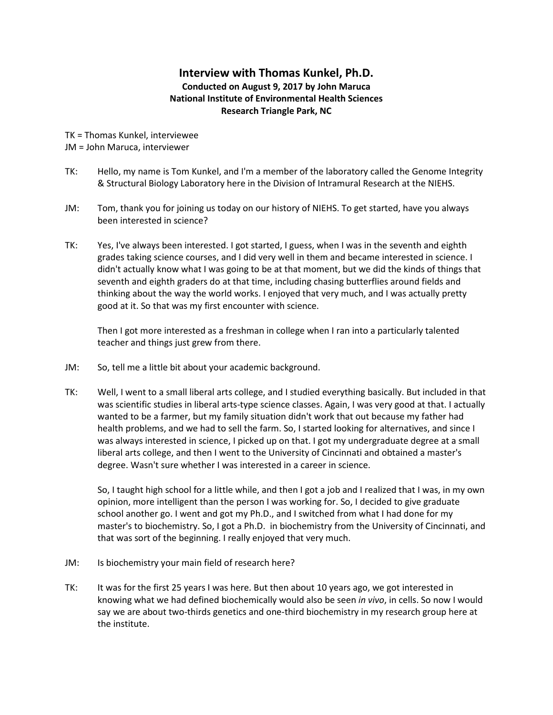## **Interview with Thomas Kunkel, Ph.D. Conducted on August 9, 2017 by John Maruca National Institute of Environmental Health Sciences Research Triangle Park, NC**

TK = Thomas Kunkel, interviewee JM = John Maruca, interviewer

- TK: Hello, my name is Tom Kunkel, and I'm a member of the laboratory called the Genome Integrity & Structural Biology Laboratory here in the Division of Intramural Research at the NIEHS.
- JM: Tom, thank you for joining us today on our history of NIEHS. To get started, have you always been interested in science?
- TK: Yes, I've always been interested. I got started, I guess, when I was in the seventh and eighth grades taking science courses, and I did very well in them and became interested in science. I didn't actually know what I was going to be at that moment, but we did the kinds of things that seventh and eighth graders do at that time, including chasing butterflies around fields and thinking about the way the world works. I enjoyed that very much, and I was actually pretty good at it. So that was my first encounter with science.

Then I got more interested as a freshman in college when I ran into a particularly talented teacher and things just grew from there.

- JM: So, tell me a little bit about your academic background.
- TK: Well, I went to a small liberal arts college, and I studied everything basically. But included in that was scientific studies in liberal arts-type science classes. Again, I was very good at that. I actually wanted to be a farmer, but my family situation didn't work that out because my father had health problems, and we had to sell the farm. So, I started looking for alternatives, and since I was always interested in science, I picked up on that. I got my undergraduate degree at a small liberal arts college, and then I went to the University of Cincinnati and obtained a master's degree. Wasn't sure whether I was interested in a career in science.

So, I taught high school for a little while, and then I got a job and I realized that I was, in my own opinion, more intelligent than the person I was working for. So, I decided to give graduate school another go. I went and got my Ph.D., and I switched from what I had done for my master's to biochemistry. So, I got a Ph.D. in biochemistry from the University of Cincinnati, and that was sort of the beginning. I really enjoyed that very much.

- JM: Is biochemistry your main field of research here?
- TK: It was for the first 25 years I was here. But then about 10 years ago, we got interested in knowing what we had defined biochemically would also be seen *in vivo*, in cells. So now I would say we are about two-thirds genetics and one-third biochemistry in my research group here at the institute.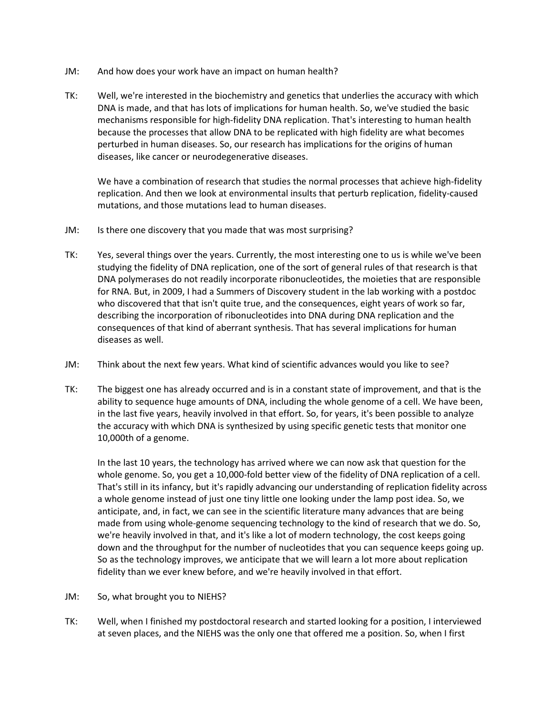- JM: And how does your work have an impact on human health?
- TK: Well, we're interested in the biochemistry and genetics that underlies the accuracy with which DNA is made, and that has lots of implications for human health. So, we've studied the basic mechanisms responsible for high-fidelity DNA replication. That's interesting to human health because the processes that allow DNA to be replicated with high fidelity are what becomes perturbed in human diseases. So, our research has implications for the origins of human diseases, like cancer or neurodegenerative diseases.

We have a combination of research that studies the normal processes that achieve high-fidelity replication. And then we look at environmental insults that perturb replication, fidelity-caused mutations, and those mutations lead to human diseases.

- JM: Is there one discovery that you made that was most surprising?
- TK: Yes, several things over the years. Currently, the most interesting one to us is while we've been studying the fidelity of DNA replication, one of the sort of general rules of that research is that DNA polymerases do not readily incorporate ribonucleotides, the moieties that are responsible for RNA. But, in 2009, I had a Summers of Discovery student in the lab working with a postdoc who discovered that that isn't quite true, and the consequences, eight years of work so far, describing the incorporation of ribonucleotides into DNA during DNA replication and the consequences of that kind of aberrant synthesis. That has several implications for human diseases as well.
- JM: Think about the next few years. What kind of scientific advances would you like to see?
- TK: The biggest one has already occurred and is in a constant state of improvement, and that is the ability to sequence huge amounts of DNA, including the whole genome of a cell. We have been, in the last five years, heavily involved in that effort. So, for years, it's been possible to analyze the accuracy with which DNA is synthesized by using specific genetic tests that monitor one 10,000th of a genome.

In the last 10 years, the technology has arrived where we can now ask that question for the whole genome. So, you get a 10,000-fold better view of the fidelity of DNA replication of a cell. That's still in its infancy, but it's rapidly advancing our understanding of replication fidelity across a whole genome instead of just one tiny little one looking under the lamp post idea. So, we anticipate, and, in fact, we can see in the scientific literature many advances that are being made from using whole-genome sequencing technology to the kind of research that we do. So, we're heavily involved in that, and it's like a lot of modern technology, the cost keeps going down and the throughput for the number of nucleotides that you can sequence keeps going up. So as the technology improves, we anticipate that we will learn a lot more about replication fidelity than we ever knew before, and we're heavily involved in that effort.

- JM: So, what brought you to NIEHS?
- TK: Well, when I finished my postdoctoral research and started looking for a position, I interviewed at seven places, and the NIEHS was the only one that offered me a position. So, when I first